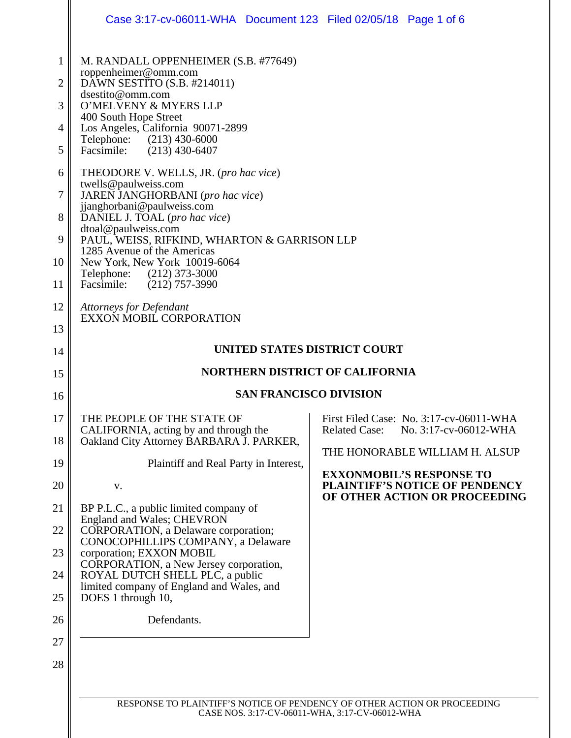|             | Case 3:17-cv-06011-WHA Document 123 Filed 02/05/18 Page 1 of 6                          |                                                                                                    |  |  |  |  |
|-------------|-----------------------------------------------------------------------------------------|----------------------------------------------------------------------------------------------------|--|--|--|--|
| $\mathbf 1$ | M. RANDALL OPPENHEIMER (S.B. #77649)                                                    |                                                                                                    |  |  |  |  |
| 2           | roppenheimer@omm.com<br>DAWN SESTITO (S.B. #214011)<br>dsestito@omm.com                 |                                                                                                    |  |  |  |  |
| 3           | O'MELVENY & MYERS LLP<br>400 South Hope Street                                          |                                                                                                    |  |  |  |  |
| 4           | Los Angeles, California 90071-2899<br>Telephone: (213) 430-6000                         |                                                                                                    |  |  |  |  |
| 5           | Facsimile: (213) 430-6407                                                               |                                                                                                    |  |  |  |  |
| 6           | THEODORE V. WELLS, JR. (pro hac vice)<br>twells@paulweiss.com                           |                                                                                                    |  |  |  |  |
| $\tau$      | JAREN JANGHORBANI (pro hac vice)<br>jjanghorbani@paulweiss.com                          |                                                                                                    |  |  |  |  |
| 8           | DANIEL J. TOAL (pro hac vice)<br>dtoal@paulweiss.com                                    |                                                                                                    |  |  |  |  |
| 9           | PAUL, WEISS, RIFKIND, WHARTON & GARRISON LLP<br>1285 Avenue of the Americas             |                                                                                                    |  |  |  |  |
| 10<br>11    | New York, New York 10019-6064<br>Telephone: (212) 373-3000<br>Facsimile: (212) 757-3990 |                                                                                                    |  |  |  |  |
| 12          | <b>Attorneys for Defendant</b>                                                          |                                                                                                    |  |  |  |  |
| 13          | EXXON MOBIL CORPORATION                                                                 |                                                                                                    |  |  |  |  |
| 14          | UNITED STATES DISTRICT COURT                                                            |                                                                                                    |  |  |  |  |
| 15          | <b>NORTHERN DISTRICT OF CALIFORNIA</b>                                                  |                                                                                                    |  |  |  |  |
| 16          | <b>SAN FRANCISCO DIVISION</b>                                                           |                                                                                                    |  |  |  |  |
| 17          | THE PEOPLE OF THE STATE OF                                                              | First Filed Case: No. 3:17-cv-06011-WHA                                                            |  |  |  |  |
| 18          | CALIFORNIA, acting by and through the<br>Oakland City Attorney BARBARA J. PARKER,       | No. 3:17-cv-06012-WHA<br><b>Related Case:</b>                                                      |  |  |  |  |
| 19          | Plaintiff and Real Party in Interest,                                                   | THE HONORABLE WILLIAM H. ALSUP                                                                     |  |  |  |  |
| 20          | V.                                                                                      | <b>EXXONMOBIL'S RESPONSE TO</b><br>PLAINTIFF'S NOTICE OF PENDENCY<br>OF OTHER ACTION OR PROCEEDING |  |  |  |  |
| 21          | BP P.L.C., a public limited company of<br><b>England and Wales; CHEVRON</b>             |                                                                                                    |  |  |  |  |
| 22          | CORPORATION, a Delaware corporation;<br>CONOCOPHILLIPS COMPANY, a Delaware              |                                                                                                    |  |  |  |  |
| 23          | corporation; EXXON MOBIL<br>CORPORATION, a New Jersey corporation,                      |                                                                                                    |  |  |  |  |
| 24          | ROYAL DUTCH SHELL PLC, a public<br>limited company of England and Wales, and            |                                                                                                    |  |  |  |  |
| 25          | DOES 1 through 10,                                                                      |                                                                                                    |  |  |  |  |
| 26          | Defendants.                                                                             |                                                                                                    |  |  |  |  |
| 27          |                                                                                         |                                                                                                    |  |  |  |  |
| 28          |                                                                                         |                                                                                                    |  |  |  |  |
|             |                                                                                         |                                                                                                    |  |  |  |  |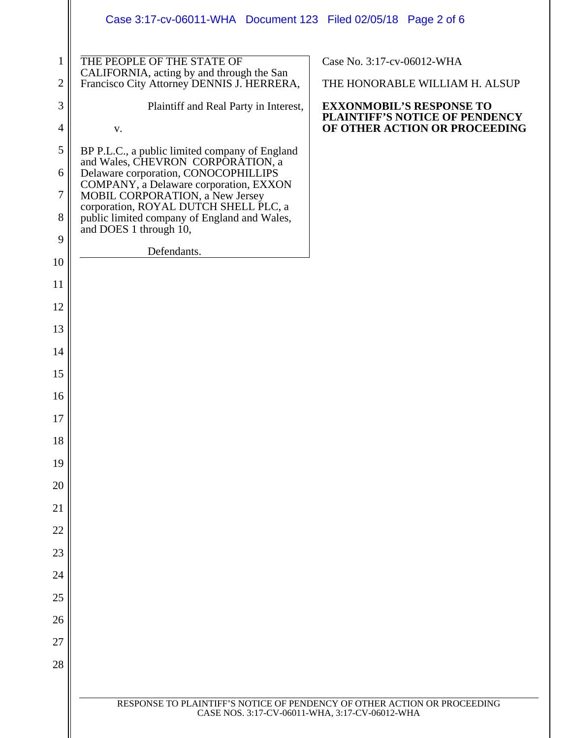|                     | Case 3:17-cv-06011-WHA Document 123 Filed 02/05/18 Page 2 of 6                        |                                                                                                    |
|---------------------|---------------------------------------------------------------------------------------|----------------------------------------------------------------------------------------------------|
| $\mathbf{1}$        | THE PEOPLE OF THE STATE OF<br>CALIFORNIA, acting by and through the San               | Case No. 3:17-cv-06012-WHA                                                                         |
| $\overline{2}$      | Francisco City Attorney DENNIS J. HERRERA,                                            | THE HONORABLE WILLIAM H. ALSUP                                                                     |
| 3<br>$\overline{4}$ | Plaintiff and Real Party in Interest,<br>${\bf V}$ .                                  | <b>EXXONMOBIL'S RESPONSE TO</b><br>PLAINTIFF'S NOTICE OF PENDENCY<br>OF OTHER ACTION OR PROCEEDING |
| 5                   | BP P.L.C., a public limited company of England                                        |                                                                                                    |
| 6                   | and Wales, CHEVRON CORPORATION, a<br>Delaware corporation, CONOCOPHILLIPS             |                                                                                                    |
| $\tau$              | COMPANY, a Delaware corporation, EXXON<br>MOBIL CORPORATION, a New Jersey             |                                                                                                    |
| 8                   | corporation, ROYAL DUTCH SHELL PLC, a<br>public limited company of England and Wales, |                                                                                                    |
| 9                   | and DOES 1 through 10,                                                                |                                                                                                    |
| 10                  | Defendants.                                                                           |                                                                                                    |
| 11                  |                                                                                       |                                                                                                    |
| 12                  |                                                                                       |                                                                                                    |
| 13                  |                                                                                       |                                                                                                    |
| 14                  |                                                                                       |                                                                                                    |
| 15                  |                                                                                       |                                                                                                    |
| 16                  |                                                                                       |                                                                                                    |
| 17                  |                                                                                       |                                                                                                    |
| 18                  |                                                                                       |                                                                                                    |
| 19                  |                                                                                       |                                                                                                    |
| 20                  |                                                                                       |                                                                                                    |
| 21                  |                                                                                       |                                                                                                    |
| 22                  |                                                                                       |                                                                                                    |
| 23                  |                                                                                       |                                                                                                    |
| 24                  |                                                                                       |                                                                                                    |
| 25                  |                                                                                       |                                                                                                    |
| 26                  |                                                                                       |                                                                                                    |
| 27                  |                                                                                       |                                                                                                    |
| 28                  |                                                                                       |                                                                                                    |
|                     | RESPONSE TO PLAINTIFF'S NOTICE OF PENDENCY OF OTHER ACTION OR PROCEEDING              |                                                                                                    |
|                     | CASE NOS. 3:17-CV-06011-WHA, 3:17-CV-06012-WHA                                        |                                                                                                    |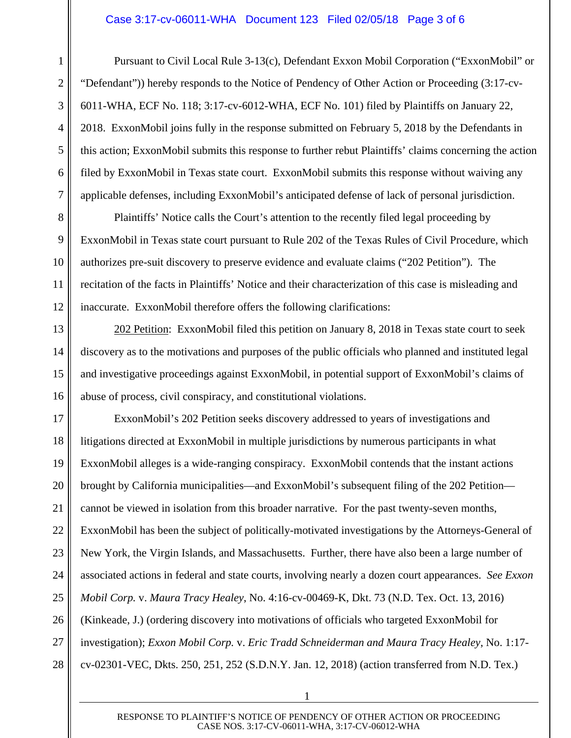## Case 3:17-cv-06011-WHA Document 123 Filed 02/05/18 Page 3 of 6

1

2

3

4

5

6

7

8

9

10

11

12

13

14

15

16

Pursuant to Civil Local Rule 3-13(c), Defendant Exxon Mobil Corporation ("ExxonMobil" or "Defendant")) hereby responds to the Notice of Pendency of Other Action or Proceeding (3:17-cv-6011-WHA, ECF No. 118; 3:17-cv-6012-WHA, ECF No. 101) filed by Plaintiffs on January 22, 2018. ExxonMobil joins fully in the response submitted on February 5, 2018 by the Defendants in this action; ExxonMobil submits this response to further rebut Plaintiffs' claims concerning the action filed by ExxonMobil in Texas state court. ExxonMobil submits this response without waiving any applicable defenses, including ExxonMobil's anticipated defense of lack of personal jurisdiction.

Plaintiffs' Notice calls the Court's attention to the recently filed legal proceeding by ExxonMobil in Texas state court pursuant to Rule 202 of the Texas Rules of Civil Procedure, which authorizes pre-suit discovery to preserve evidence and evaluate claims ("202 Petition"). The recitation of the facts in Plaintiffs' Notice and their characterization of this case is misleading and inaccurate. ExxonMobil therefore offers the following clarifications:

202 Petition: ExxonMobil filed this petition on January 8, 2018 in Texas state court to seek discovery as to the motivations and purposes of the public officials who planned and instituted legal and investigative proceedings against ExxonMobil, in potential support of ExxonMobil's claims of abuse of process, civil conspiracy, and constitutional violations.

17 18 19 20 21 22 23 24 25 26 27 28 ExxonMobil's 202 Petition seeks discovery addressed to years of investigations and litigations directed at ExxonMobil in multiple jurisdictions by numerous participants in what ExxonMobil alleges is a wide-ranging conspiracy. ExxonMobil contends that the instant actions brought by California municipalities—and ExxonMobil's subsequent filing of the 202 Petition cannot be viewed in isolation from this broader narrative. For the past twenty-seven months, ExxonMobil has been the subject of politically-motivated investigations by the Attorneys-General of New York, the Virgin Islands, and Massachusetts. Further, there have also been a large number of associated actions in federal and state courts, involving nearly a dozen court appearances. *See Exxon Mobil Corp.* v. *Maura Tracy Healey*, No. 4:16-cv-00469-K, Dkt. 73 (N.D. Tex. Oct. 13, 2016) (Kinkeade, J.) (ordering discovery into motivations of officials who targeted ExxonMobil for investigation); *Exxon Mobil Corp.* v. *Eric Tradd Schneiderman and Maura Tracy Healey*, No. 1:17 cv-02301-VEC, Dkts. 250, 251, 252 (S.D.N.Y. Jan. 12, 2018) (action transferred from N.D. Tex.)

1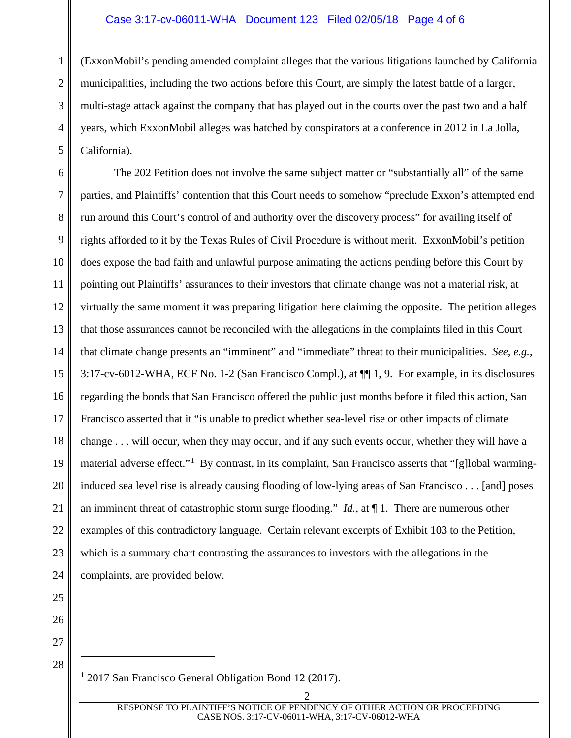## Case 3:17-cv-06011-WHA Document 123 Filed 02/05/18 Page 4 of 6

1 2 3 4 5 (ExxonMobil's pending amended complaint alleges that the various litigations launched by California municipalities, including the two actions before this Court, are simply the latest battle of a larger, multi-stage attack against the company that has played out in the courts over the past two and a half years, which ExxonMobil alleges was hatched by conspirators at a conference in 2012 in La Jolla, California).

6 7 8 9 10 11 12 13 14 15 16 17 18 19 20 21 22 23 24 The 202 Petition does not involve the same subject matter or "substantially all" of the same parties, and Plaintiffs' contention that this Court needs to somehow "preclude Exxon's attempted end run around this Court's control of and authority over the discovery process" for availing itself of rights afforded to it by the Texas Rules of Civil Procedure is without merit. ExxonMobil's petition does expose the bad faith and unlawful purpose animating the actions pending before this Court by pointing out Plaintiffs' assurances to their investors that climate change was not a material risk, at virtually the same moment it was preparing litigation here claiming the opposite. The petition alleges that those assurances cannot be reconciled with the allegations in the complaints filed in this Court that climate change presents an "imminent" and "immediate" threat to their municipalities. *See, e.g.*, 3:17-cv-6012-WHA, ECF No. 1-2 (San Francisco Compl.), at ¶¶ 1, 9. For example, in its disclosures regarding the bonds that San Francisco offered the public just months before it filed this action, San Francisco asserted that it "is unable to predict whether sea-level rise or other impacts of climate change . . . will occur, when they may occur, and if any such events occur, whether they will have a material adverse effect."<sup>[1](#page-3-0)</sup> By contrast, in its complaint, San Francisco asserts that "[g]lobal warminginduced sea level rise is already causing flooding of low-lying areas of San Francisco . . . [and] poses an imminent threat of catastrophic storm surge flooding." *Id.*, at ¶ 1. There are numerous other examples of this contradictory language. Certain relevant excerpts of Exhibit 103 to the Petition, which is a summary chart contrasting the assurances to investors with the allegations in the complaints, are provided below.

25 26

27

<span id="page-3-0"></span>28

 $\overline{a}$ 

<sup>1</sup> 2017 San Francisco General Obligation Bond 12 (2017).

2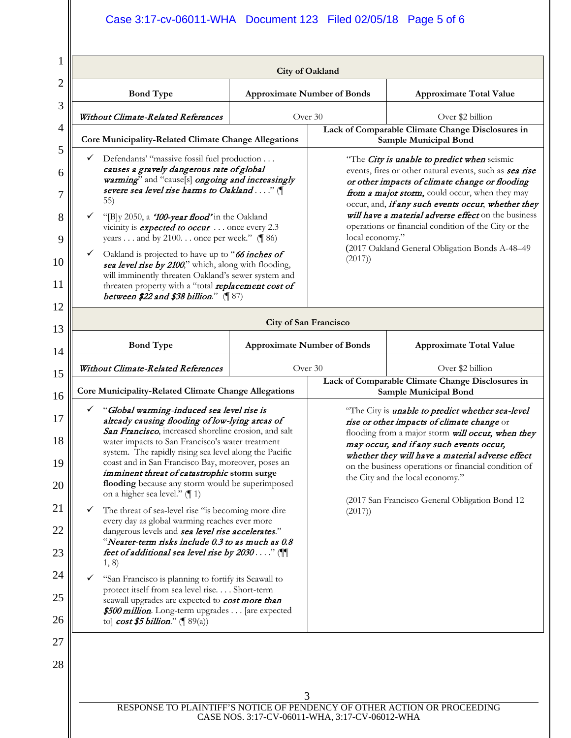## Case 3:17-cv-06011-WHA Document 123 Filed 02/05/18 Page 5 of 6

|                                                                                                                                                                                                                                                                                                                                                                                                                                                                                                                                                                                                                                                                                                                                                                                                                                                                                                                                                                                                                               | <b>Bond Type</b>                                            |                                                                                                                                                                                                                                                                                                                                                                                                                    | <b>Approximate Number of Bonds</b>                                                                                                                                                                                                                                                                                                                                                                                                                             | <b>Approximate Total Value</b>                                                   |  |
|-------------------------------------------------------------------------------------------------------------------------------------------------------------------------------------------------------------------------------------------------------------------------------------------------------------------------------------------------------------------------------------------------------------------------------------------------------------------------------------------------------------------------------------------------------------------------------------------------------------------------------------------------------------------------------------------------------------------------------------------------------------------------------------------------------------------------------------------------------------------------------------------------------------------------------------------------------------------------------------------------------------------------------|-------------------------------------------------------------|--------------------------------------------------------------------------------------------------------------------------------------------------------------------------------------------------------------------------------------------------------------------------------------------------------------------------------------------------------------------------------------------------------------------|----------------------------------------------------------------------------------------------------------------------------------------------------------------------------------------------------------------------------------------------------------------------------------------------------------------------------------------------------------------------------------------------------------------------------------------------------------------|----------------------------------------------------------------------------------|--|
|                                                                                                                                                                                                                                                                                                                                                                                                                                                                                                                                                                                                                                                                                                                                                                                                                                                                                                                                                                                                                               | Without Climate-Related References                          |                                                                                                                                                                                                                                                                                                                                                                                                                    | Over 30                                                                                                                                                                                                                                                                                                                                                                                                                                                        | Over \$2 billion                                                                 |  |
|                                                                                                                                                                                                                                                                                                                                                                                                                                                                                                                                                                                                                                                                                                                                                                                                                                                                                                                                                                                                                               | Core Municipality-Related Climate Change Allegations        |                                                                                                                                                                                                                                                                                                                                                                                                                    |                                                                                                                                                                                                                                                                                                                                                                                                                                                                | Lack of Comparable Climate Change Disclosures in<br><b>Sample Municipal Bond</b> |  |
| ✓<br>Defendants' "massive fossil fuel production<br>causes a gravely dangerous rate of global<br>warming" and "cause[s] ongoing and increasingly<br>severe sea level rise harms to Oakland" (<br>55)<br>"[B]y 2050, a '100-year flood' in the Oakland<br>✓<br>vicinity is <b>expected to occur</b> once every 2.3<br>years and by 2100. once per week." $(\P 86)$<br>$\checkmark$<br>Oakland is projected to have up to "66 inches of<br>sea level rise by 2100," which, along with flooding,<br>will imminently threaten Oakland's sewer system and<br>threaten property with a "total replacement cost of<br>between \$22 and \$38 billion." $(\sqrt{\phantom{a}}\,87)$                                                                                                                                                                                                                                                                                                                                                     |                                                             |                                                                                                                                                                                                                                                                                                                                                                                                                    | "The City is unable to predict when seismic<br>events, fires or other natural events, such as sea rise<br>or other impacts of climate change or flooding<br>from a major storm, could occur, when they may<br>occur, and, if any such events occur, whether they<br>will have a material adverse effect on the business<br>operations or financial condition of the City or the<br>local economy."<br>(2017 Oakland General Obligation Bonds A-48-49<br>(2017) |                                                                                  |  |
| <b>City of San Francisco</b>                                                                                                                                                                                                                                                                                                                                                                                                                                                                                                                                                                                                                                                                                                                                                                                                                                                                                                                                                                                                  |                                                             |                                                                                                                                                                                                                                                                                                                                                                                                                    |                                                                                                                                                                                                                                                                                                                                                                                                                                                                |                                                                                  |  |
|                                                                                                                                                                                                                                                                                                                                                                                                                                                                                                                                                                                                                                                                                                                                                                                                                                                                                                                                                                                                                               | <b>Bond Type</b>                                            |                                                                                                                                                                                                                                                                                                                                                                                                                    | <b>Approximate Number of Bonds</b>                                                                                                                                                                                                                                                                                                                                                                                                                             | <b>Approximate Total Value</b>                                                   |  |
|                                                                                                                                                                                                                                                                                                                                                                                                                                                                                                                                                                                                                                                                                                                                                                                                                                                                                                                                                                                                                               | Without Climate-Related References                          |                                                                                                                                                                                                                                                                                                                                                                                                                    | Over 30                                                                                                                                                                                                                                                                                                                                                                                                                                                        | Over \$2 billion                                                                 |  |
|                                                                                                                                                                                                                                                                                                                                                                                                                                                                                                                                                                                                                                                                                                                                                                                                                                                                                                                                                                                                                               | <b>Core Municipality-Related Climate Change Allegations</b> |                                                                                                                                                                                                                                                                                                                                                                                                                    |                                                                                                                                                                                                                                                                                                                                                                                                                                                                | Lack of Comparable Climate Change Disclosures in<br><b>Sample Municipal Bond</b> |  |
| "Global warming-induced sea level rise is<br>✓<br>already causing flooding of low-lying areas of<br>San Francisco, increased shoreline erosion, and salt<br>water impacts to San Francisco's water treatment<br>system. The rapidly rising sea level along the Pacific<br>coast and in San Francisco Bay, moreover, poses an<br>imminent threat of catastrophic storm surge<br>flooding because any storm would be superimposed<br>on a higher sea level." $(\parallel 1)$<br>The threat of sea-level rise "is becoming more dire<br>every day as global warming reaches ever more<br>dangerous levels and sea level rise accelerates."<br>"Nearer-term risks include 0.3 to as much as 0.8<br>feet of additional sea level rise by 2030" (<br>1, 8)<br>"San Francisco is planning to fortify its Seawall to<br>protect itself from sea level rise Short-term<br>seawall upgrades are expected to <b>cost more than</b><br>\$500 million. Long-term upgrades [are expected<br>to] $\cos t$ \$5 billion." ( $\parallel$ 89(a)) |                                                             | "The City is <i>unable to predict whether sea-level</i><br>rise or other impacts of climate change or<br>flooding from a major storm will occur, when they<br>may occur, and if any such events occur,<br>whether they will have a material adverse effect<br>on the business operations or financial condition of<br>the City and the local economy."<br>(2017 San Francisco General Obligation Bond 12<br>(2017) |                                                                                                                                                                                                                                                                                                                                                                                                                                                                |                                                                                  |  |